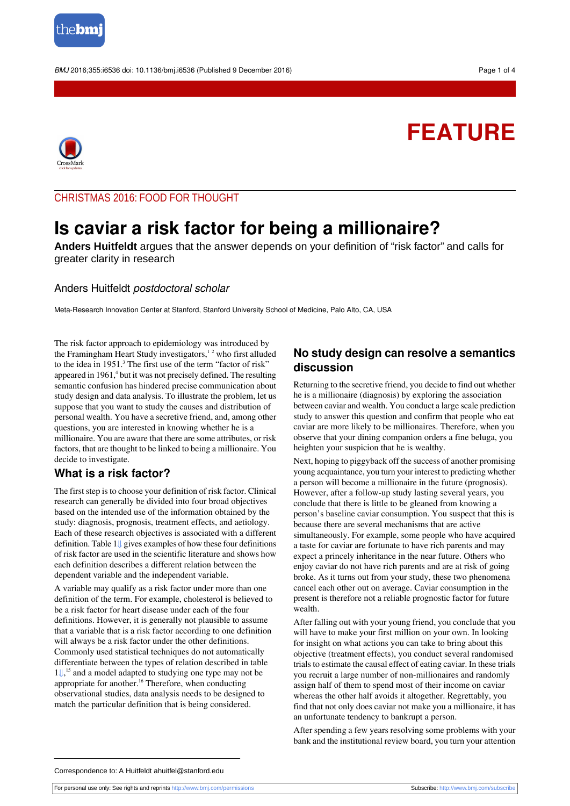

BMJ 2016:355:i6536 doi: 10.1136/bmi.i6536 (Published 9 December 2016) Page 1 of 4

# **FEATURE**



CHRISTMAS 2016: FOOD FOR THOUGHT

## **Is caviar a risk factor for being a millionaire?**

**Anders Huitfeldt** argues that the answer depends on your definition of "risk factor" and calls for greater clarity in research

Anders Huitfeldt postdoctoral scholar

Meta-Research Innovation Center at Stanford, Stanford University School of Medicine, Palo Alto, CA, USA

The risk factor approach to epidemiology was introduced by the Framingham Heart Study investigators,<sup>12</sup> who first alluded to the idea in 1951.<sup>3</sup> The first use of the term "factor of risk" appeared in 1961,<sup>4</sup> but it was not precisely defined. The resulting semantic confusion has hindered precise communication about study design and data analysis. To illustrate the problem, let us suppose that you want to study the causes and distribution of personal wealth. You have a secretive friend, and, among other questions, you are interested in knowing whether he is a millionaire. You are aware that there are some attributes, or risk factors, that are thought to be linked to being a millionaire. You decide to investigate.

#### **What is a risk factor?**

The first step is to choose your definition of risk factor. Clinical research can generally be divided into four broad objectives based on the intended use of the information obtained by the study: diagnosis, prognosis, treatment effects, and aetiology. Each of these research objectives is associated with a different definition. Table 1[⇓](#page-3-0) gives examples of how these four definitions of risk factor are used in the scientific literature and shows how each definition describes a different relation between the dependent variable and the independent variable.

A variable may qualify as a risk factor under more than one definition of the term. For example, cholesterol is believed to be a risk factor for heart disease under each of the four definitions. However, it is generally not plausible to assume that a variable that is a risk factor according to one definition will always be a risk factor under the other definitions. Commonly used statistical techniques do not automatically differentiate between the types of relation described in table 1↓,<sup>15</sup> and a model adapted to studying one type may not be appropriate for another.<sup>16</sup> Therefore, when conducting observational studies, data analysis needs to be designed to match the particular definition that is being considered.

#### **No study design can resolve a semantics discussion**

Returning to the secretive friend, you decide to find out whether he is a millionaire (diagnosis) by exploring the association between caviar and wealth. You conduct a large scale prediction study to answer this question and confirm that people who eat caviar are more likely to be millionaires. Therefore, when you observe that your dining companion orders a fine beluga, you heighten your suspicion that he is wealthy.

Next, hoping to piggyback off the success of another promising young acquaintance, you turn your interest to predicting whether a person will become a millionaire in the future (prognosis). However, after a follow-up study lasting several years, you conclude that there is little to be gleaned from knowing a person's baseline caviar consumption. You suspect that this is because there are several mechanisms that are active simultaneously. For example, some people who have acquired a taste for caviar are fortunate to have rich parents and may expect a princely inheritance in the near future. Others who enjoy caviar do not have rich parents and are at risk of going broke. As it turns out from your study, these two phenomena cancel each other out on average. Caviar consumption in the present is therefore not a reliable prognostic factor for future wealth.

After falling out with your young friend, you conclude that you will have to make your first million on your own. In looking for insight on what actions you can take to bring about this objective (treatment effects), you conduct several randomised trials to estimate the causal effect of eating caviar. In these trials you recruit a large number of non-millionaires and randomly assign half of them to spend most of their income on caviar whereas the other half avoids it altogether. Regrettably, you find that not only does caviar not make you a millionaire, it has an unfortunate tendency to bankrupt a person.

After spending a few years resolving some problems with your bank and the institutional review board, you turn your attention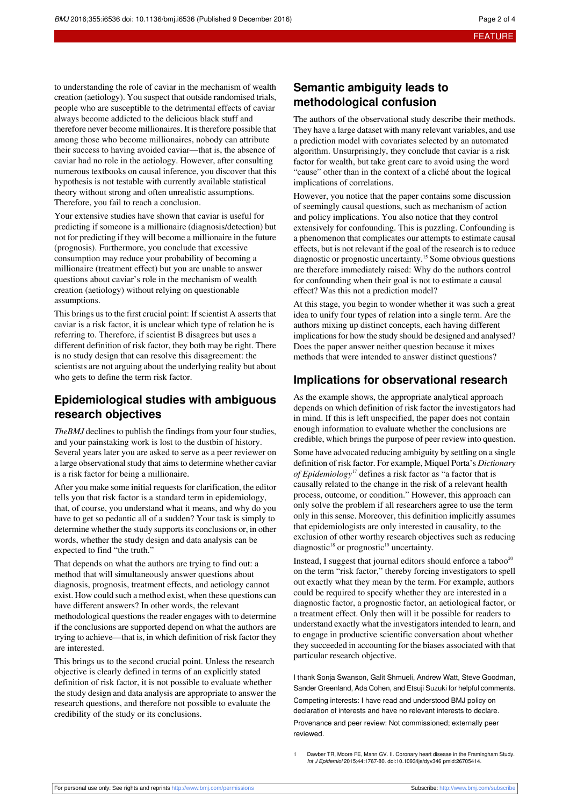to understanding the role of caviar in the mechanism of wealth creation (aetiology). You suspect that outside randomised trials, people who are susceptible to the detrimental effects of caviar always become addicted to the delicious black stuff and therefore never become millionaires. It is therefore possible that among those who become millionaires, nobody can attribute their success to having avoided caviar—that is, the absence of caviar had no role in the aetiology. However, after consulting numerous textbooks on causal inference, you discover that this hypothesis is not testable with currently available statistical theory without strong and often unrealistic assumptions. Therefore, you fail to reach a conclusion.

Your extensive studies have shown that caviar is useful for predicting if someone is a millionaire (diagnosis/detection) but not for predicting if they will become a millionaire in the future (prognosis). Furthermore, you conclude that excessive consumption may reduce your probability of becoming a millionaire (treatment effect) but you are unable to answer questions about caviar's role in the mechanism of wealth creation (aetiology) without relying on questionable assumptions.

This brings us to the first crucial point: If scientist A asserts that caviar is a risk factor, it is unclear which type of relation he is referring to. Therefore, if scientist B disagrees but uses a different definition of risk factor, they both may be right. There is no study design that can resolve this disagreement: the scientists are not arguing about the underlying reality but about who gets to define the term risk factor.

#### **Epidemiological studies with ambiguous research objectives**

*TheBMJ* declines to publish the findings from your four studies, and your painstaking work is lost to the dustbin of history. Several years later you are asked to serve as a peer reviewer on a large observational study that aims to determine whether caviar is a risk factor for being a millionaire.

After you make some initial requests for clarification, the editor tells you that risk factor is a standard term in epidemiology, that, of course, you understand what it means, and why do you have to get so pedantic all of a sudden? Your task is simply to determine whether the study supports its conclusions or, in other words, whether the study design and data analysis can be expected to find "the truth."

That depends on what the authors are trying to find out: a method that will simultaneously answer questions about diagnosis, prognosis, treatment effects, and aetiology cannot exist. How could such a method exist, when these questions can have different answers? In other words, the relevant methodological questions the reader engages with to determine if the conclusions are supported depend on what the authors are trying to achieve—that is, in which definition of risk factor they are interested.

This brings us to the second crucial point. Unless the research objective is clearly defined in terms of an explicitly stated definition of risk factor, it is not possible to evaluate whether the study design and data analysis are appropriate to answer the research questions, and therefore not possible to evaluate the credibility of the study or its conclusions.

#### **Semantic ambiguity leads to methodological confusion**

The authors of the observational study describe their methods. They have a large dataset with many relevant variables, and use a prediction model with covariates selected by an automated algorithm. Unsurprisingly, they conclude that caviar is a risk factor for wealth, but take great care to avoid using the word "cause" other than in the context of a cliché about the logical implications of correlations.

However, you notice that the paper contains some discussion of seemingly causal questions, such as mechanism of action and policy implications. You also notice that they control extensively for confounding. This is puzzling. Confounding is a phenomenon that complicates our attempts to estimate causal effects, but is not relevant if the goal of the research is to reduce diagnostic or prognostic uncertainty.<sup>15</sup> Some obvious questions are therefore immediately raised: Why do the authors control for confounding when their goal is not to estimate a causal effect? Was this not a prediction model?

At this stage, you begin to wonder whether it was such a great idea to unify four types of relation into a single term. Are the authors mixing up distinct concepts, each having different implications for how the study should be designed and analysed? Does the paper answer neither question because it mixes methods that were intended to answer distinct questions?

#### **Implications for observational research**

As the example shows, the appropriate analytical approach depends on which definition of risk factor the investigators had in mind. If this is left unspecified, the paper does not contain enough information to evaluate whether the conclusions are credible, which brings the purpose of peer review into question.

Some have advocated reducing ambiguity by settling on a single definition of risk factor. For example, Miquel Porta's *Dictionary of Epidemiology*<sup>17</sup> defines a risk factor as "a factor that is causally related to the change in the risk of a relevant health process, outcome, or condition." However, this approach can only solve the problem if all researchers agree to use the term only in this sense. Moreover, this definition implicitly assumes that epidemiologists are only interested in causality, to the exclusion of other worthy research objectives such as reducing diagnostic<sup>18</sup> or prognostic<sup>19</sup> uncertainty.

Instead, I suggest that journal editors should enforce a taboo $2<sup>0</sup>$ on the term "risk factor," thereby forcing investigators to spell out exactly what they mean by the term. For example, authors could be required to specify whether they are interested in a diagnostic factor, a prognostic factor, an aetiological factor, or a treatment effect. Only then will it be possible for readers to understand exactly what the investigatorsintended to learn, and to engage in productive scientific conversation about whether they succeeded in accounting for the biases associated with that particular research objective.

I thank Sonja Swanson, Galit Shmueli, Andrew Watt, Steve Goodman, Sander Greenland, Ada Cohen, and Etsuji Suzuki for helpful comments. Competing interests: I have read and understood BMJ policy on declaration of interests and have no relevant interests to declare. Provenance and peer review: Not commissioned; externally peer reviewed.

<sup>1</sup> Dawber TR, Moore FE, Mann GV. II. Coronary heart disease in the Framingham Study. Int J Epidemiol 2015;44:1767-80. [doi:10.1093/ije/dyv346](http://dx.doi.org/10.1093/ije/dyv346) [pmid:26705414.](http://www.ncbi.nlm.nih.gov/pubmed/?term=26705414)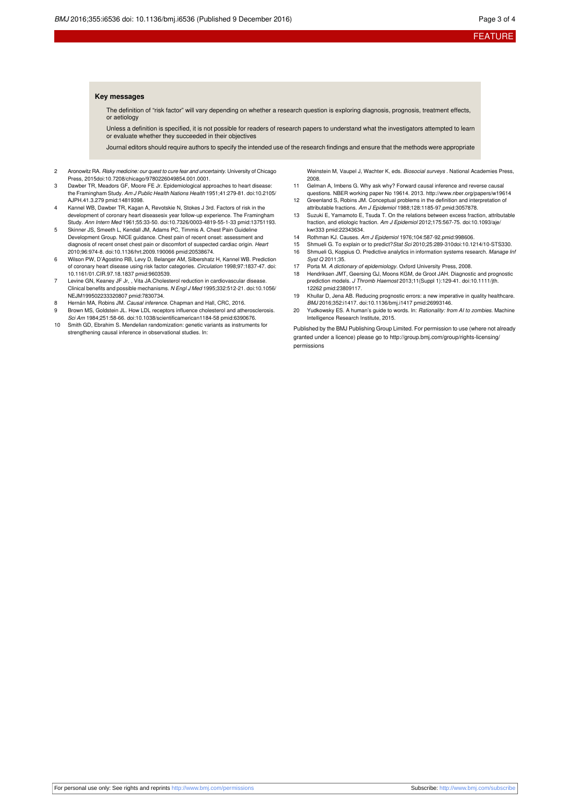#### **Key messages**

The definition of "risk factor" will vary depending on whether a research question is exploring diagnosis, prognosis, treatment effects, or aetiology

Unless a definition is specified, it is not possible for readers of research papers to understand what the investigators attempted to learn or evaluate whether they succeeded in their objectives

Journal editors should require authors to specify the intended use of the research findings and ensure that the methods were appropriate

- 2 Aronowitz RA. Risky medicine: our quest to cure fear and uncertainty. University of Chicago Press, 2015[doi:10.7208/chicago/9780226049854.001.0001](http://dx.doi.org/10.7208/chicago/9780226049854.001.0001).
- 3 Dawber TR, Meadors GF, Moore FE Jr. Epidemiological approaches to heart disease: the Framingham Study. Am J Public Health Nations Health 1951;41:279-81. [doi:10.2105/](http://dx.doi.org/10.2105/AJPH.41.3.279) [AJPH.41.3.279](http://dx.doi.org/10.2105/AJPH.41.3.279) [pmid:14819398](http://www.ncbi.nlm.nih.gov/pubmed/?term=14819398).
- 4 Kannel WB, Dawber TR, Kagan A, Revotskie N, Stokes J 3rd. Factors of risk in the development of coronary heart diseasesix year follow-up experience. The Framingham Study. Ann Intern Med 1961;55:33-50. [doi:10.7326/0003-4819-55-1-33](http://dx.doi.org/10.7326/0003-4819-55-1-33) [pmid:13751193](http://www.ncbi.nlm.nih.gov/pubmed/?term=13751193).
- 5 Skinner JS, Smeeth L, Kendall JM, Adams PC, Timmis A. Chest Pain Guideline Development Group. NICE guidance. Chest pain of recent onset: assessment and diagnosis of recent onset chest pain or discomfort of suspected cardiac origin. Heart 2010;96:974-8. [doi:10.1136/hrt.2009.190066](http://dx.doi.org/10.1136/hrt.2009.190066) [pmid:20538674](http://www.ncbi.nlm.nih.gov/pubmed/?term=20538674).
- 6 Wilson PW, D'Agostino RB, Levy D, Belanger AM, Silbershatz H, Kannel WB. Prediction of coronary heart disease using risk factor categories. Circulation 1998;97:1837-47. [doi:](http://dx.doi.org/10.1161/01.CIR.97.18.1837) [10.1161/01.CIR.97.18.1837](http://dx.doi.org/10.1161/01.CIR.97.18.1837) [pmid:9603539](http://www.ncbi.nlm.nih.gov/pubmed/?term=9603539).
- 7 Levine GN, Keaney JF Jr, , Vita JA.Cholesterol reduction in cardiovascular disease. Clinical benefits and possible mechanisms. N Engl J Med 1995;332:512-21. [doi:10.1056/](http://dx.doi.org/10.1056/NEJM199502233320807) [NEJM199502233320807](http://dx.doi.org/10.1056/NEJM199502233320807) [pmid:7830734](http://www.ncbi.nlm.nih.gov/pubmed/?term=7830734).
- Hernán MA, Robins JM. Causal inference. Chapman and Hall, CRC, 2016.
- 9 Brown MS, Goldstein JL. How LDL receptors influence cholesterol and atherosclerosis. Sci Am 1984;251:58-66. [doi:10.1038/scientificamerican1184-58](http://dx.doi.org/10.1038/scientificamerican1184-58) [pmid:6390676](http://www.ncbi.nlm.nih.gov/pubmed/?term=6390676).
- 10 Smith GD, Ebrahim S. Mendelian randomization: genetic variants as instruments for strengthening causal inference in observational studies. In:

Weinstein M, Vaupel J, Wachter K, eds. Biosocial surveys . National Academies Press, 2008.

- 11 Gelman A, Imbens G. Why ask why? Forward causal inference and reverse causal questions. NBER working paper No 19614. 2013. <http://www.nber.org/papers/w19614>
- 12 Greenland S, Robins JM. Conceptual problems in the definition and interpretation of attributable fractions. Am J Epidemiol 1988;128:1185-97[.pmid:3057878](http://www.ncbi.nlm.nih.gov/pubmed/?term=3057878).
- 13 Suzuki E, Yamamoto E, Tsuda T. On the relations between excess fraction, attributable fraction, and etiologic fraction. Am J Epidemiol 2012;175:567-75. [doi:10.1093/aje/](http://dx.doi.org/10.1093/aje/kwr333) [kwr333](http://dx.doi.org/10.1093/aje/kwr333) [pmid:22343634](http://www.ncbi.nlm.nih.gov/pubmed/?term=22343634).
- 14 Rothman KJ. Causes. Am J Epidemiol 1976;104:587-92.[pmid:998606](http://www.ncbi.nlm.nih.gov/pubmed/?term=998606).<br>15 Shmueli G. To explain or to predict? Stat Sci 2010:25:289-310doi:10.12
- 15 Shmueli G. To explain or to predict?Stat Sci 2010;25:289-31[0doi:10.1214/10-STS330](http://dx.doi.org/10.1214/10-STS330). 16 Shmueli G, Koppius O. Predictive analytics in information systems research. Manage Inf
- Syst Q 2011;35. 17 Porta M. A dictionary of epidemiology. Oxford University Press, 2008.
- 18 Hendriksen JMT, Geersing GJ, Moons KGM, de Groot JAH. Diagnostic and prognostic prediction models. J Thromb Haemost 2013;11(Suppl 1):129-41. [doi:10.1111/jth.](http://dx.doi.org/10.1111/jth.12262) [12262](http://dx.doi.org/10.1111/jth.12262) [pmid:23809117.](http://www.ncbi.nlm.nih.gov/pubmed/?term=23809117)
- 19 Khullar D, Jena AB. Reducing prognostic errors: a new imperative in quality healthcare. BMJ 2016;352:i1417. [doi:10.1136/bmj.i1417](http://dx.doi.org/10.1136/bmj.i1417) [pmid:26993146](http://www.ncbi.nlm.nih.gov/pubmed/?term=26993146).
- 20 Yudkowsky ES. A human's guide to words. In: Rationality: from AI to zombies. Machine Intelligence Research Institute, 2015.

Published by the BMJ Publishing Group Limited. For permission to use (where not already granted under a licence) please go to [http://group.bmj.com/group/rights-licensing/](http://group.bmj.com/group/rights-licensing/permissions) [permissions](http://group.bmj.com/group/rights-licensing/permissions)